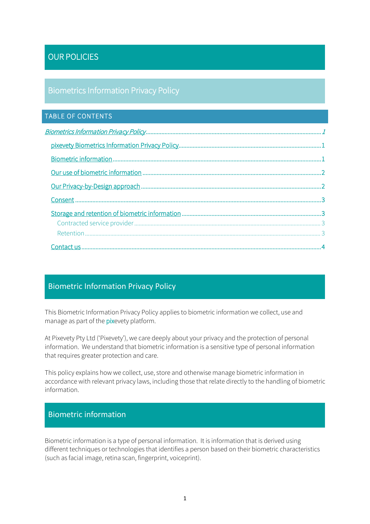# OUR POLICIES

#### Biometrics Information Privacy Policy

#### TABLE OF CONTENTS

#### Biometric Information Privacy Policy

This Biometric Information Privacy Policy applies to biometric information we collect, use and manage as part of the *pixevety* platform.

At Pixevety Pty Ltd ('Pixevety'), we care deeply about your privacy and the protection of personal information. We understand that biometric information is a sensitive type of personal information that requires greater protection and care.

This policy explains how we collect, use, store and otherwise manage biometric information in accordance with relevant privacy laws, including those that relate directly to the handling of biometric information.

#### Biometric information

Biometric information is a type of personal information. It is information that is derived using different techniques or technologies that identifies a person based on their biometric characteristics (such as facial image, retina scan, fingerprint, voiceprint).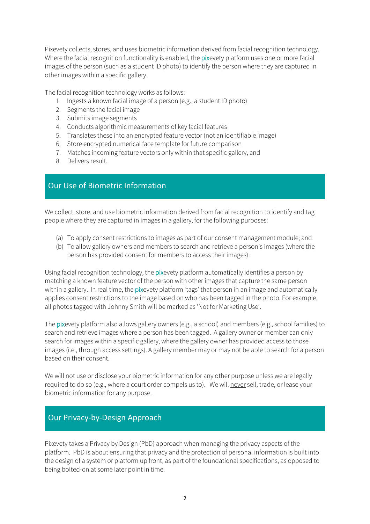Pixevety collects, stores, and uses biometric information derived from facial recognition technology. Where the facial recognition functionality is enabled, the pixevety platform uses one or more facial images of the person (such as a student ID photo) to identify the person where they are captured in other images within a specific gallery.

The facial recognition technology works as follows:

- 1. Ingests a known facial image of a person (e.g., a student ID photo)
- 2. Segments the facial image
- 3. Submits image segments
- 4. Conducts algorithmic measurements of key facial features
- 5. Translates these into an encrypted feature vector (not an identifiable image)
- 6. Store encrypted numerical face template for future comparison
- 7. Matches incoming feature vectors only within that specific gallery, and
- 8. Delivers result.

# Our Use of Biometric Information

We collect, store, and use biometric information derived from facial recognition to identify and tag people where they are captured in images in a gallery, for the following purposes:

- (a) To apply consent restrictions to images as part of our consent management module; and
- (b) To allow gallery owners and members to search and retrieve a person's images (where the person has provided consent for members to access their images).

Using facial recognition technology, the pixevety platform automatically identifies a person by matching a known feature vector of the person with other images that capture the same person within a gallery. In real time, the pixevety platform 'tags' that person in an image and automatically applies consent restrictions to the image based on who has been tagged in the photo. For example, all photos tagged with Johnny Smith will be marked as 'Not for Marketing Use'.

The pixevety platform also allows gallery owners (e.g., a school) and members (e.g., school families) to search and retrieve images where a person has been tagged. A gallery owner or member can only search for images within a specific gallery, where the gallery owner has provided access to those images (i.e., through access settings). A gallery member may or may not be able to search for a person based on their consent.

We will not use or disclose your biometric information for any other purpose unless we are legally required to do so (e.g., where a court order compels us to). We will never sell, trade, or lease your biometric information for any purpose.

# Our Privacy-by-Design Approach

Pixevety takes a Privacy by Design (PbD) approach when managing the privacy aspects of the platform. PbD is about ensuring that privacy and the protection of personal information is built into the design of a system or platform up front, as part of the foundational specifications, as opposed to being bolted-on at some later point in time.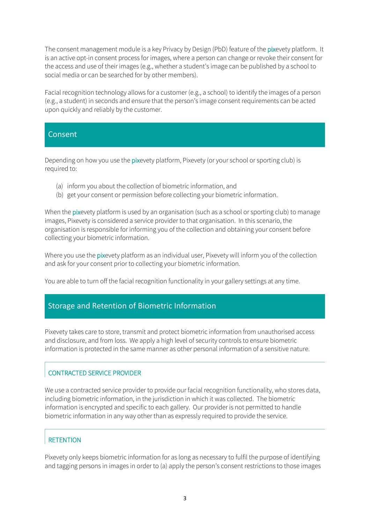The consent management module is a key Privacy by Design (PbD) feature of the pixevety platform. It is an active opt-in consent process for images, where a person can change or revoke their consent for the access and use of their images (e.g., whether a student's image can be published by a school to social media or can be searched for by other members).

Facial recognition technology allows for a customer (e.g., a school) to identify the images of a person (e.g., a student) in seconds and ensure that the person's image consent requirements can be acted upon quickly and reliably by the customer.

#### Consent

Depending on how you use the pixevety platform, Pixevety (or your school or sporting club) is required to:

- (a) inform you about the collection of biometric information, and
- (b) get your consent or permission before collecting your biometric information.

When the pixevety platform is used by an organisation (such as a school or sporting club) to manage images, Pixevety is considered a service provider to that organisation. In this scenario, the organisation is responsible for informing you of the collection and obtaining your consent before collecting your biometric information.

Where you use the pixevety platform as an individual user, Pixevety will inform you of the collection and ask for your consent prior to collecting your biometric information.

You are able to turn off the facial recognition functionality in your gallery settings at any time.

# Storage and Retention of Biometric Information

Pixevety takes care to store, transmit and protect biometric information from unauthorised access and disclosure, and from loss. We apply a high level of security controls to ensure biometric information is protected in the same manner as other personal information of a sensitive nature.

#### CONTRACTED SERVICE PROVIDER

We use a contracted service provider to provide our facial recognition functionality, who stores data, including biometric information, in the jurisdiction in which it was collected. The biometric information is encrypted and specific to each gallery. Our provider is not permitted to handle biometric information in any way other than as expressly required to provide the service.

#### **RETENTION**

Pixevety only keeps biometric information for as long as necessary to fulfil the purpose of identifying and tagging persons in images in order to (a) apply the person's consent restrictions to those images